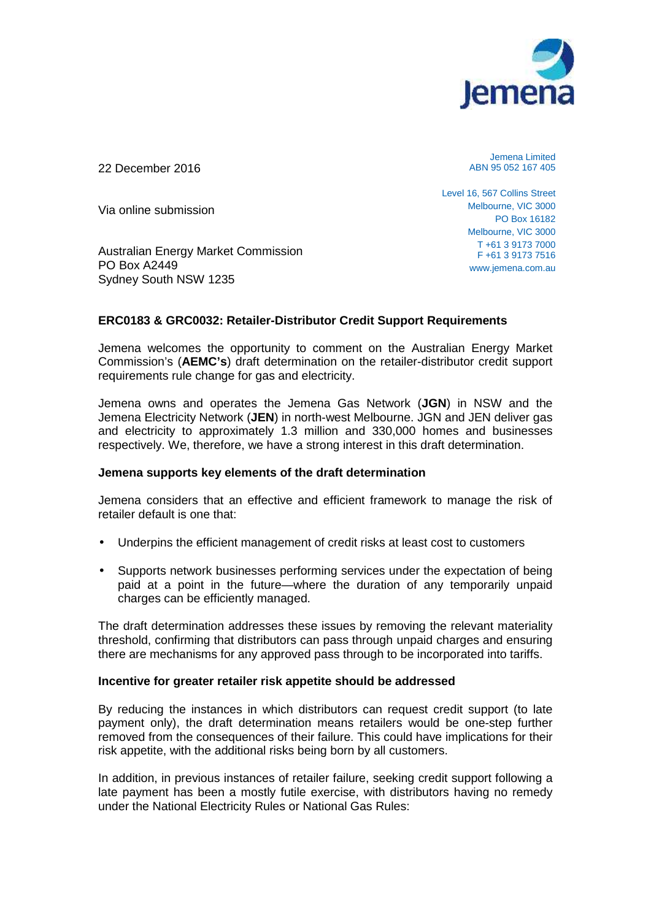

22 December 2016

Jemena Limited ABN 95 052 167 405

Level 16, 567 Collins Street Melbourne, VIC 3000 PO Box 16182 Melbourne, VIC 3000 T +61 3 9173 7000 F +61 3 9173 7516 www.jemena.com.au

Via online submission

Australian Energy Market Commission PO Box A2449 Sydney South NSW 1235

## **ERC0183 & GRC0032: Retailer-Distributor Credit Support Requirements**

Jemena welcomes the opportunity to comment on the Australian Energy Market Commission's (**AEMC's**) draft determination on the retailer-distributor credit support requirements rule change for gas and electricity.

Jemena owns and operates the Jemena Gas Network (**JGN**) in NSW and the Jemena Electricity Network (**JEN**) in north-west Melbourne. JGN and JEN deliver gas and electricity to approximately 1.3 million and 330,000 homes and businesses respectively. We, therefore, we have a strong interest in this draft determination.

## **Jemena supports key elements of the draft determination**

Jemena considers that an effective and efficient framework to manage the risk of retailer default is one that:

- Underpins the efficient management of credit risks at least cost to customers
- Supports network businesses performing services under the expectation of being paid at a point in the future—where the duration of any temporarily unpaid charges can be efficiently managed.

The draft determination addresses these issues by removing the relevant materiality threshold, confirming that distributors can pass through unpaid charges and ensuring there are mechanisms for any approved pass through to be incorporated into tariffs.

## **Incentive for greater retailer risk appetite should be addressed**

By reducing the instances in which distributors can request credit support (to late payment only), the draft determination means retailers would be one-step further removed from the consequences of their failure. This could have implications for their risk appetite, with the additional risks being born by all customers.

In addition, in previous instances of retailer failure, seeking credit support following a late payment has been a mostly futile exercise, with distributors having no remedy under the National Electricity Rules or National Gas Rules: